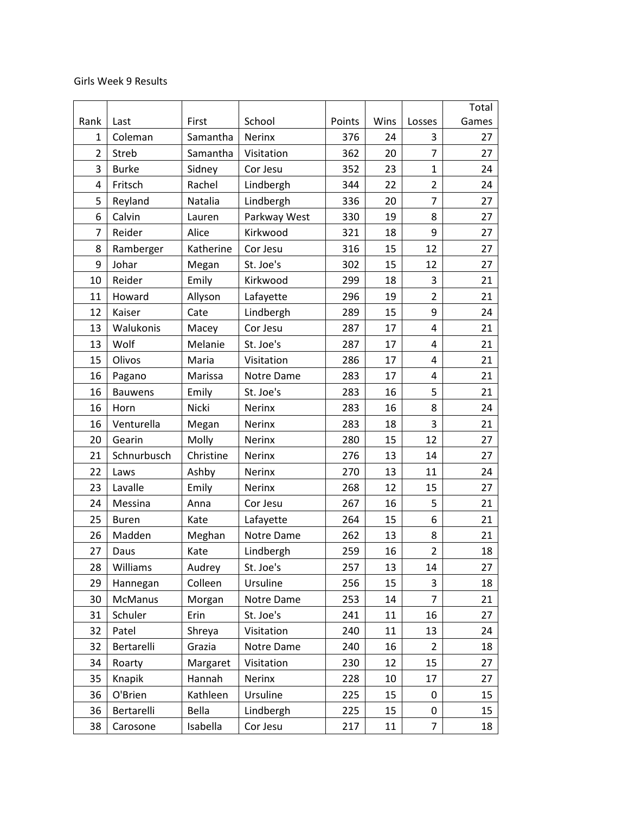## Girls Week 9 Results

|                |                |           |               |        |      |                         | Total |
|----------------|----------------|-----------|---------------|--------|------|-------------------------|-------|
| Rank           | Last           | First     | School        | Points | Wins | Losses                  | Games |
| 1              | Coleman        | Samantha  | Nerinx        | 376    | 24   | 3                       | 27    |
| $\overline{2}$ | <b>Streb</b>   | Samantha  | Visitation    | 362    | 20   | $\overline{7}$          | 27    |
| 3              | <b>Burke</b>   | Sidney    | Cor Jesu      | 352    | 23   | $\mathbf{1}$            | 24    |
| 4              | Fritsch        | Rachel    | Lindbergh     | 344    | 22   | $\overline{2}$          | 24    |
| 5              | Reyland        | Natalia   | Lindbergh     | 336    | 20   | $\overline{7}$          | 27    |
| 6              | Calvin         | Lauren    | Parkway West  | 330    | 19   | 8                       | 27    |
| 7              | Reider         | Alice     | Kirkwood      | 321    | 18   | 9                       | 27    |
| 8              | Ramberger      | Katherine | Cor Jesu      | 316    | 15   | 12                      | 27    |
| 9              | Johar          | Megan     | St. Joe's     | 302    | 15   | 12                      | 27    |
| 10             | Reider         | Emily     | Kirkwood      | 299    | 18   | 3                       | 21    |
| 11             | Howard         | Allyson   | Lafayette     | 296    | 19   | $\overline{2}$          | 21    |
| 12             | Kaiser         | Cate      | Lindbergh     | 289    | 15   | 9                       | 24    |
| 13             | Walukonis      | Macey     | Cor Jesu      | 287    | 17   | 4                       | 21    |
| 13             | Wolf           | Melanie   | St. Joe's     | 287    | 17   | $\overline{\mathbf{4}}$ | 21    |
| 15             | Olivos         | Maria     | Visitation    | 286    | 17   | $\overline{\mathbf{4}}$ | 21    |
| 16             | Pagano         | Marissa   | Notre Dame    | 283    | 17   | 4                       | 21    |
| 16             | <b>Bauwens</b> | Emily     | St. Joe's     | 283    | 16   | 5                       | 21    |
| 16             | Horn           | Nicki     | Nerinx        | 283    | 16   | 8                       | 24    |
| 16             | Venturella     | Megan     | Nerinx        | 283    | 18   | 3                       | 21    |
| 20             | Gearin         | Molly     | Nerinx        | 280    | 15   | 12                      | 27    |
| 21             | Schnurbusch    | Christine | Nerinx        | 276    | 13   | 14                      | 27    |
| 22             | Laws           | Ashby     | Nerinx        | 270    | 13   | 11                      | 24    |
| 23             | Lavalle        | Emily     | Nerinx        | 268    | 12   | 15                      | 27    |
| 24             | Messina        | Anna      | Cor Jesu      | 267    | 16   | 5                       | 21    |
| 25             | <b>Buren</b>   | Kate      | Lafayette     | 264    | 15   | 6                       | 21    |
| 26             | Madden         | Meghan    | Notre Dame    | 262    | 13   | 8                       | 21    |
| 27             | Daus           | Kate      | Lindbergh     | 259    | 16   | $\overline{2}$          | 18    |
| 28             | Williams       | Audrey    | St. Joe's     | 257    | 13   | 14                      | 27    |
| 29             | Hannegan       | Colleen   | Ursuline      | 256    | 15   | 3                       | 18    |
| 30             | <b>McManus</b> | Morgan    | Notre Dame    | 253    | 14   | 7                       | 21    |
| 31             | Schuler        | Erin      | St. Joe's     | 241    | 11   | 16                      | 27    |
| 32             | Patel          | Shreya    | Visitation    | 240    | 11   | 13                      | 24    |
| 32             | Bertarelli     | Grazia    | Notre Dame    | 240    | 16   | $\overline{2}$          | 18    |
| 34             | Roarty         | Margaret  | Visitation    | 230    | 12   | 15                      | 27    |
| 35             | Knapik         | Hannah    | <b>Nerinx</b> | 228    | 10   | 17                      | 27    |
| 36             | O'Brien        | Kathleen  | Ursuline      | 225    | 15   | 0                       | 15    |
| 36             | Bertarelli     | Bella     | Lindbergh     | 225    | 15   | 0                       | 15    |
| 38             | Carosone       | Isabella  | Cor Jesu      | 217    | 11   | $\overline{7}$          | 18    |